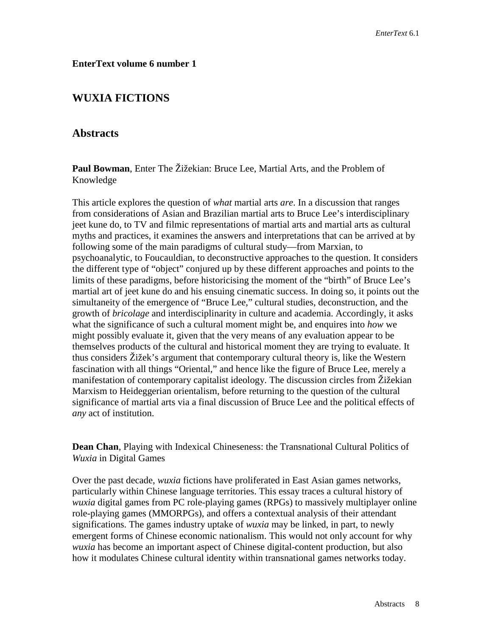## **EnterText volume 6 number 1**

## **WUXIA FICTIONS**

## **Abstracts**

**Paul Bowman**, Enter The Žižekian: Bruce Lee, Martial Arts, and the Problem of Knowledge

This article explores the question of *what* martial arts *are*. In a discussion that ranges from considerations of Asian and Brazilian martial arts to Bruce Lee's interdisciplinary jeet kune do, to TV and filmic representations of martial arts and martial arts as cultural myths and practices, it examines the answers and interpretations that can be arrived at by following some of the main paradigms of cultural study—from Marxian, to psychoanalytic, to Foucauldian, to deconstructive approaches to the question. It considers the different type of "object" conjured up by these different approaches and points to the limits of these paradigms, before historicising the moment of the "birth" of Bruce Lee's martial art of jeet kune do and his ensuing cinematic success. In doing so, it points out the simultaneity of the emergence of "Bruce Lee," cultural studies, deconstruction, and the growth of *bricolage* and interdisciplinarity in culture and academia. Accordingly, it asks what the significance of such a cultural moment might be, and enquires into *how* we might possibly evaluate it, given that the very means of any evaluation appear to be themselves products of the cultural and historical moment they are trying to evaluate. It thus considers Žižek's argument that contemporary cultural theory is, like the Western fascination with all things "Oriental," and hence like the figure of Bruce Lee, merely a manifestation of contemporary capitalist ideology. The discussion circles from Žižekian Marxism to Heideggerian orientalism, before returning to the question of the cultural significance of martial arts via a final discussion of Bruce Lee and the political effects of *any* act of institution.

**Dean Chan**, Playing with Indexical Chineseness: the Transnational Cultural Politics of *Wuxia* in Digital Games

Over the past decade, *wuxia* fictions have proliferated in East Asian games networks, particularly within Chinese language territories. This essay traces a cultural history of *wuxia* digital games from PC role-playing games (RPGs) to massively multiplayer online role-playing games (MMORPGs), and offers a contextual analysis of their attendant significations. The games industry uptake of *wuxia* may be linked, in part, to newly emergent forms of Chinese economic nationalism. This would not only account for why *wuxia* has become an important aspect of Chinese digital-content production, but also how it modulates Chinese cultural identity within transnational games networks today.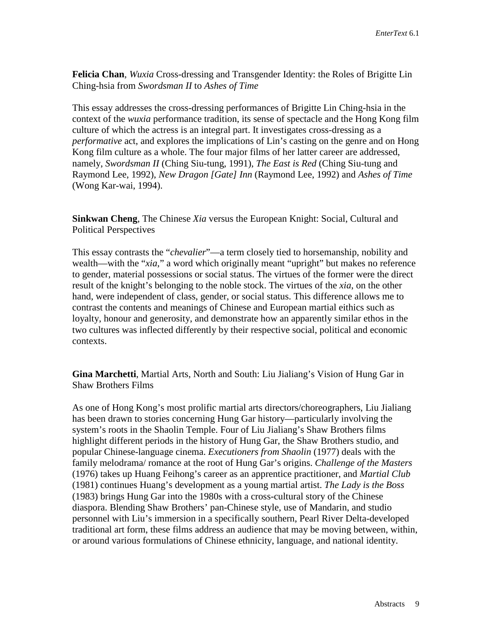**Felicia Chan**, *Wuxia* Cross-dressing and Transgender Identity: the Roles of Brigitte Lin Ching-hsia from *Swordsman II* to *Ashes of Time*

This essay addresses the cross-dressing performances of Brigitte Lin Ching-hsia in the context of the *wuxia* performance tradition, its sense of spectacle and the Hong Kong film culture of which the actress is an integral part. It investigates cross-dressing as a *performative* act, and explores the implications of Lin's casting on the genre and on Hong Kong film culture as a whole. The four major films of her latter career are addressed, namely, *Swordsman II* (Ching Siu-tung, 1991), *The East is Red* (Ching Siu-tung and Raymond Lee, 1992), *New Dragon [Gate] Inn* (Raymond Lee, 1992) and *Ashes of Time* (Wong Kar-wai, 1994).

**Sinkwan Cheng**, The Chinese *Xia* versus the European Knight: Social, Cultural and Political Perspectives

This essay contrasts the "*chevalier*"—a term closely tied to horsemanship, nobility and wealth—with the "*xia*," a word which originally meant "upright" but makes no reference to gender, material possessions or social status. The virtues of the former were the direct result of the knight's belonging to the noble stock. The virtues of the *xia*, on the other hand, were independent of class, gender, or social status. This difference allows me to contrast the contents and meanings of Chinese and European martial eithics such as loyalty, honour and generosity, and demonstrate how an apparently similar ethos in the two cultures was inflected differently by their respective social, political and economic contexts.

**Gina Marchetti**, Martial Arts, North and South: Liu Jialiang's Vision of Hung Gar in Shaw Brothers Films

As one of Hong Kong's most prolific martial arts directors/choreographers, Liu Jialiang has been drawn to stories concerning Hung Gar history—particularly involving the system's roots in the Shaolin Temple. Four of Liu Jialiang's Shaw Brothers films highlight different periods in the history of Hung Gar, the Shaw Brothers studio, and popular Chinese-language cinema. *Executioners from Shaolin* (1977) deals with the family melodrama/ romance at the root of Hung Gar's origins. *Challenge of the Masters* (1976) takes up Huang Feihong's career as an apprentice practitioner, and *Martial Club* (1981) continues Huang's development as a young martial artist. *The Lady is the Boss* (1983) brings Hung Gar into the 1980s with a cross-cultural story of the Chinese diaspora. Blending Shaw Brothers' pan-Chinese style, use of Mandarin, and studio personnel with Liu's immersion in a specifically southern, Pearl River Delta-developed traditional art form, these films address an audience that may be moving between, within, or around various formulations of Chinese ethnicity, language, and national identity.